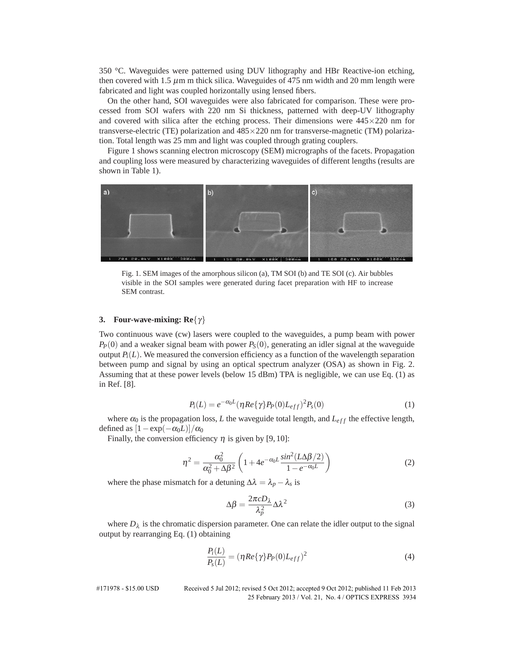350 °C. Waveguides were patterned using DUV lithography and HBr Reactive-ion etching, then covered with 1.5  $\mu$ m m thick silica. Waveguides of 475 nm width and 20 mm length were fabricated and light was coupled horizontally using lensed fibers.

On the other hand, SOI waveguides were also fabricated for comparison. These were processed from SOI wafers with 220 nm Si thickness, patterned with deep-UV lithography and covered with silica after the etching process. Their dimensions were  $445 \times 220$  nm for transverse-electric (TE) polarization and 485×220 nm for transverse-magnetic (TM) polarization. Total length was 25 mm and light was coupled through grating couplers.

Figure 1 shows scanning electron microscopy (SEM) micrographs of the facets. Propagation and coupling loss were measured by characterizing waveguides of different lengths (results are shown in Table 1).



Fig. 1. SEM images of the amorphous silicon (a), TM SOI (b) and TE SOI (c). Air bubbles visible in the SOI samples were generated during facet preparation with HF to increase SEM contrast.

### **3. Four-wave-mixing: Re**{γ}

Two continuous wave (cw) lasers were coupled to the waveguides, a pump beam with power  $P_P(0)$  and a weaker signal beam with power  $P_S(0)$ , generating an idler signal at the waveguide output  $P_i(L)$ . We measured the conversion efficiency as a function of the wavelength separation between pump and signal by using an optical spectrum analyzer (OSA) as shown in Fig. 2. Assuming that at these power levels (below 15 dBm) TPA is negligible, we can use Eq. (1) as in Ref. [8].

$$
P_i(L) = e^{-\alpha_0 L} (\eta Re{\{\gamma\}} P_P(0) L_{eff})^2 P_s(0)
$$
\n(1)

where  $\alpha_0$  is the propagation loss, *L* the waveguide total length, and  $L_{eff}$  the effective length, defined as  $[1 - \exp(-\alpha_0 L)]/\alpha_0$ 

Finally, the conversion efficiency  $\eta$  is given by [9, 10]:

$$
\eta^2 = \frac{\alpha_0^2}{\alpha_0^2 + \Delta \beta^2} \left( 1 + 4e^{-\alpha_0 L} \frac{\sin^2(L \Delta \beta / 2)}{1 - e^{-\alpha_0 L}} \right)
$$
(2)

where the phase mismatch for a detuning  $\Delta \lambda = \lambda_p - \lambda_s$  is

$$
\Delta \beta = \frac{2\pi c D_{\lambda}}{\lambda_p^2} \Delta \lambda^2 \tag{3}
$$

where  $D_{\lambda}$  is the chromatic dispersion parameter. One can relate the idler output to the signal output by rearranging Eq. (1) obtaining

$$
\frac{P_i(L)}{P_s(L)} = (\eta Re\{\gamma\} P_P(0) L_{eff})^2
$$
\n(4)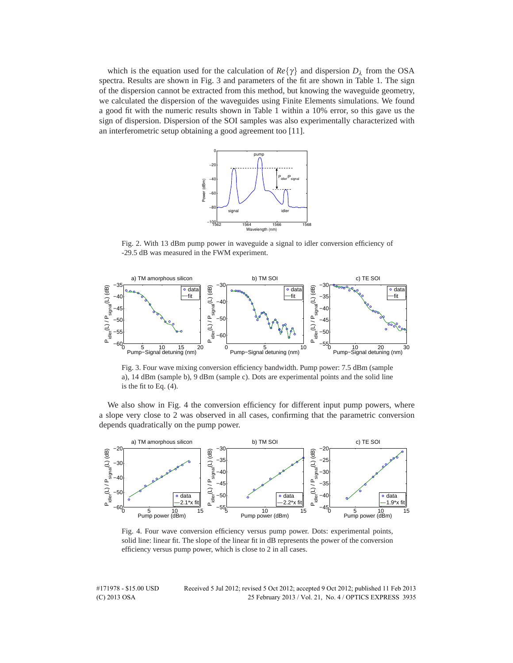which is the equation used for the calculation of  $Re\{\gamma\}$  and dispersion  $D_{\lambda}$  from the OSA spectra. Results are shown in Fig. 3 and parameters of the fit are shown in Table 1. The sign of the dispersion cannot be extracted from this method, but knowing the waveguide geometry, we calculated the dispersion of the waveguides using Finite Elements simulations. We found a good fit with the numeric results shown in Table 1 within a 10% error, so this gave us the sign of dispersion. Dispersion of the SOI samples was also experimentally characterized with an interferometric setup obtaining a good agreement too [11].



Fig. 2. With 13 dBm pump power in waveguide a signal to idler conversion efficiency of -29.5 dB was measured in the FWM experiment.



Fig. 3. Four wave mixing conversion efficiency bandwidth. Pump power: 7.5 dBm (sample a), 14 dBm (sample b), 9 dBm (sample c). Dots are experimental points and the solid line is the fit to Eq. (4).

We also show in Fig. 4 the conversion efficiency for different input pump powers, where a slope very close to 2 was observed in all cases, confirming that the parametric conversion depends quadratically on the pump power.



Fig. 4. Four wave conversion efficiency versus pump power. Dots: experimental points, solid line: linear fit. The slope of the linear fit in dB represents the power of the conversion efficiency versus pump power, which is close to 2 in all cases.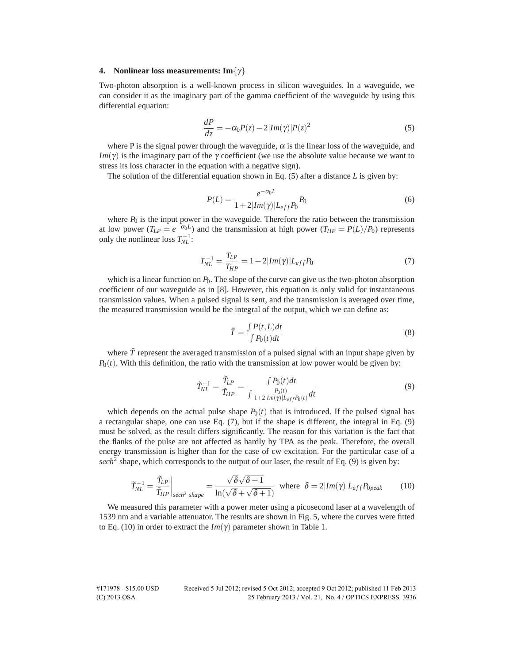### **4. Nonlinear loss measurements: Im**{γ}

Two-photon absorption is a well-known process in silicon waveguides. In a waveguide, we can consider it as the imaginary part of the gamma coefficient of the waveguide by using this differential equation:

$$
\frac{dP}{dz} = -\alpha_0 P(z) - 2|Im(\gamma)|P(z)^2 \tag{5}
$$

where P is the signal power through the waveguide,  $\alpha$  is the linear loss of the waveguide, and *Im*( $\gamma$ ) is the imaginary part of the  $\gamma$  coefficient (we use the absolute value because we want to stress its loss character in the equation with a negative sign).

The solution of the differential equation shown in Eq. (5) after a distance *L* is given by:

$$
P(L) = \frac{e^{-\alpha_0 L}}{1 + 2|Im(\gamma)|L_{eff}P_0}P_0
$$
\n(6)

where  $P_0$  is the input power in the waveguide. Therefore the ratio between the transmission at low power  $(T_{LP} = e^{-\alpha_0 L})$  and the transmission at high power  $(T_{HP} = P(L)/P_0)$  represents only the nonlinear loss  $T_{NL}^{-1}$ :

$$
T_{NL}^{-1} = \frac{T_{LP}}{T_{HP}} = 1 + 2|Im(\gamma)|L_{eff}P_0
$$
\n(7)

which is a linear function on  $P_0$ . The slope of the curve can give us the two-photon absorption coefficient of our waveguide as in [8]. However, this equation is only valid for instantaneous transmission values. When a pulsed signal is sent, and the transmission is averaged over time, the measured transmission would be the integral of the output, which we can define as:

$$
\tilde{T} = \frac{\int P(t, L)dt}{\int P_0(t)dt}
$$
\n(8)

where  $\tilde{T}$  represent the averaged transmission of a pulsed signal with an input shape given by  $P_0(t)$ . With this definition, the ratio with the transmission at low power would be given by:

$$
\tilde{T}_{NL}^{-1} = \frac{\tilde{T}_{LP}}{\tilde{T}_{HP}} = \frac{\int P_0(t)dt}{\int \frac{P_0(t)}{1 + 2|Im(\gamma)|L_{eff}P_0(t)}dt}
$$
(9)

which depends on the actual pulse shape  $P_0(t)$  that is introduced. If the pulsed signal has a rectangular shape, one can use Eq. (7), but if the shape is different, the integral in Eq. (9) must be solved, as the result differs significantly. The reason for this variation is the fact that the flanks of the pulse are not affected as hardly by TPA as the peak. Therefore, the overall energy transmission is higher than for the case of cw excitation. For the particular case of a *sech*<sup>2</sup> shape, which corresponds to the output of our laser, the result of Eq. (9) is given by:

$$
\tilde{T}_{NL}^{-1} = \frac{\tilde{T}_{LP}}{\tilde{T}_{HP}}\bigg|_{sech^2 shape} = \frac{\sqrt{\delta}\sqrt{\delta+1}}{\ln(\sqrt{\delta}+\sqrt{\delta+1})} \text{ where } \delta = 2|Im(\gamma)|L_{eff}P_{0peak} \qquad (10)
$$

We measured this parameter with a power meter using a picosecond laser at a wavelength of 1539 nm and a variable attenuator. The results are shown in Fig. 5, where the curves were fitted to Eq. (10) in order to extract the  $Im(\gamma)$  parameter shown in Table 1.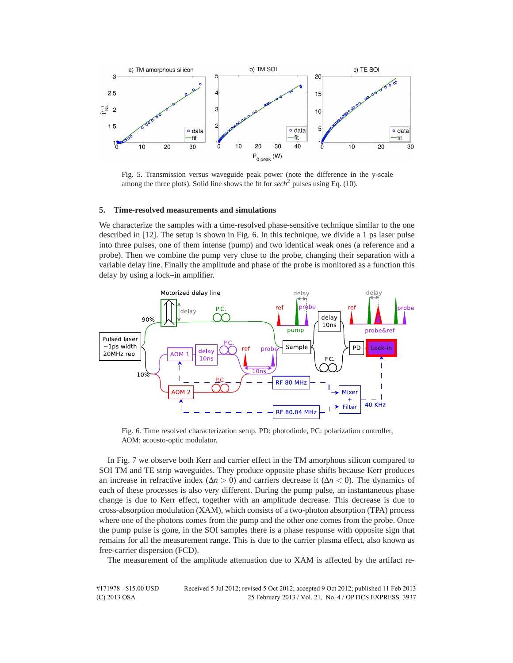

Fig. 5. Transmission versus waveguide peak power (note the difference in the y-scale among the three plots). Solid line shows the fit for *sech*<sup>2</sup> pulses using Eq. (10).

### **5. Time-resolved measurements and simulations**

We characterize the samples with a time-resolved phase-sensitive technique similar to the one described in [12]. The setup is shown in Fig. 6. In this technique, we divide a 1 ps laser pulse into three pulses, one of them intense (pump) and two identical weak ones (a reference and a probe). Then we combine the pump very close to the probe, changing their separation with a variable delay line. Finally the amplitude and phase of the probe is monitored as a function this delay by using a lock–in amplifier.



Fig. 6. Time resolved characterization setup. PD: photodiode, PC: polarization controller, AOM: acousto-optic modulator.

In Fig. 7 we observe both Kerr and carrier effect in the TM amorphous silicon compared to SOI TM and TE strip waveguides. They produce opposite phase shifts because Kerr produces an increase in refractive index ( $\Delta n > 0$ ) and carriers decrease it ( $\Delta n < 0$ ). The dynamics of each of these processes is also very different. During the pump pulse, an instantaneous phase change is due to Kerr effect, together with an amplitude decrease. This decrease is due to cross-absorption modulation (XAM), which consists of a two-photon absorption (TPA) process where one of the photons comes from the pump and the other one comes from the probe. Once the pump pulse is gone, in the SOI samples there is a phase response with opposite sign that remains for all the measurement range. This is due to the carrier plasma effect, also known as free-carrier dispersion (FCD).

The measurement of the amplitude attenuation due to XAM is affected by the artifact re-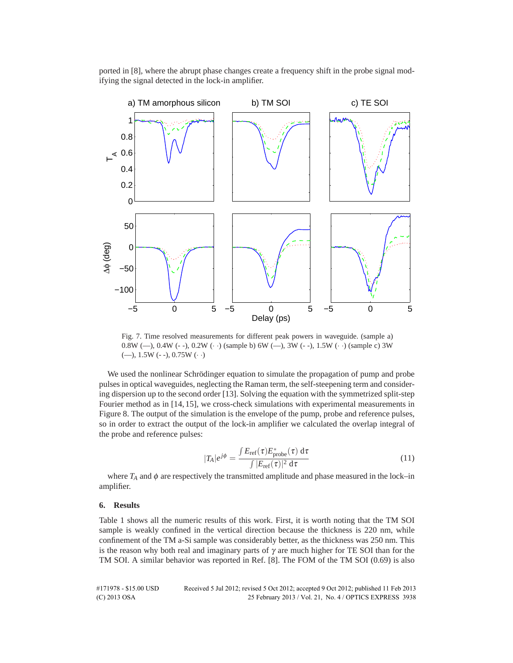ported in [8], where the abrupt phase changes create a frequency shift in the probe signal modifying the signal detected in the lock-in amplifier.



Fig. 7. Time resolved measurements for different peak powers in waveguide. (sample a) 0.8W (—), 0.4W (- -), 0.2W (· ·) (sample b) 6W (—), 3W (- -), 1.5W (· ·) (sample c) 3W (--), 1.5W (- -), 0.75W  $(\cdot \cdot)$ 

We used the nonlinear Schrödinger equation to simulate the propagation of pump and probe pulses in optical waveguides, neglecting the Raman term, the self-steepening term and considering dispersion up to the second order [13]. Solving the equation with the symmetrized split-step Fourier method as in [14, 15], we cross-check simulations with experimental measurements in Figure 8. The output of the simulation is the envelope of the pump, probe and reference pulses, so in order to extract the output of the lock-in amplifier we calculated the overlap integral of the probe and reference pulses:

$$
|T_A|e^{j\phi} = \frac{\int E_{\text{ref}}(\tau)E_{\text{probe}}^*(\tau) d\tau}{\int |E_{\text{ref}}(\tau)|^2 d\tau}
$$
(11)

where  $T_A$  and  $\phi$  are respectively the transmitted amplitude and phase measured in the lock–in amplifier.

#### **6. Results**

Table 1 shows all the numeric results of this work. First, it is worth noting that the TM SOI sample is weakly confined in the vertical direction because the thickness is 220 nm, while confinement of the TM a-Si sample was considerably better, as the thickness was 250 nm. This is the reason why both real and imaginary parts of  $\gamma$  are much higher for TE SOI than for the TM SOI. A similar behavior was reported in Ref. [8]. The FOM of the TM SOI (0.69) is also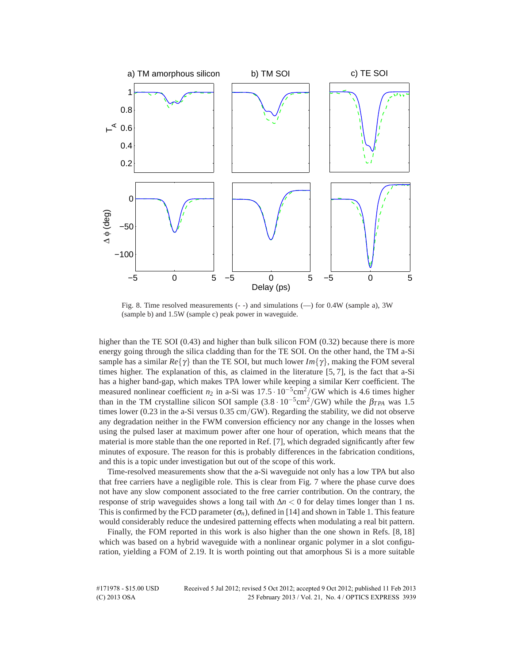

Fig. 8. Time resolved measurements (- -) and simulations (—) for 0.4W (sample a), 3W (sample b) and 1.5W (sample c) peak power in waveguide.

higher than the TE SOI (0.43) and higher than bulk silicon FOM (0.32) because there is more energy going through the silica cladding than for the TE SOI. On the other hand, the TM a-Si sample has a similar  $Re\{\gamma\}$  than the TE SOI, but much lower  $Im\{\gamma\}$ , making the FOM several times higher. The explanation of this, as claimed in the literature [5, 7], is the fact that a-Si has a higher band-gap, which makes TPA lower while keeping a similar Kerr coefficient. The measured nonlinear coefficient *n*<sub>2</sub> in a-Si was 17.5 · 10<sup>-5</sup>cm<sup>2</sup>/GW which is 4.6 times higher than in the TM crystalline silicon SOI sample  $(3.8 \cdot 10^{-5} \text{cm}^2/\text{GW})$  while the  $\beta_{TPA}$  was 1.5 times lower (0.23 in the a-Si versus 0.35 cm*/*GW). Regarding the stability, we did not observe any degradation neither in the FWM conversion efficiency nor any change in the losses when using the pulsed laser at maximum power after one hour of operation, which means that the material is more stable than the one reported in Ref. [7], which degraded significantly after few minutes of exposure. The reason for this is probably differences in the fabrication conditions, and this is a topic under investigation but out of the scope of this work.

Time-resolved measurements show that the a-Si waveguide not only has a low TPA but also that free carriers have a negligible role. This is clear from Fig. 7 where the phase curve does not have any slow component associated to the free carrier contribution. On the contrary, the response of strip waveguides shows a long tail with  $\Delta n < 0$  for delay times longer than 1 ns. This is confirmed by the FCD parameter  $(\sigma_n)$ , defined in [14] and shown in Table 1. This feature would considerably reduce the undesired patterning effects when modulating a real bit pattern.

Finally, the FOM reported in this work is also higher than the one shown in Refs. [8, 18] which was based on a hybrid waveguide with a nonlinear organic polymer in a slot configuration, yielding a FOM of 2.19. It is worth pointing out that amorphous Si is a more suitable